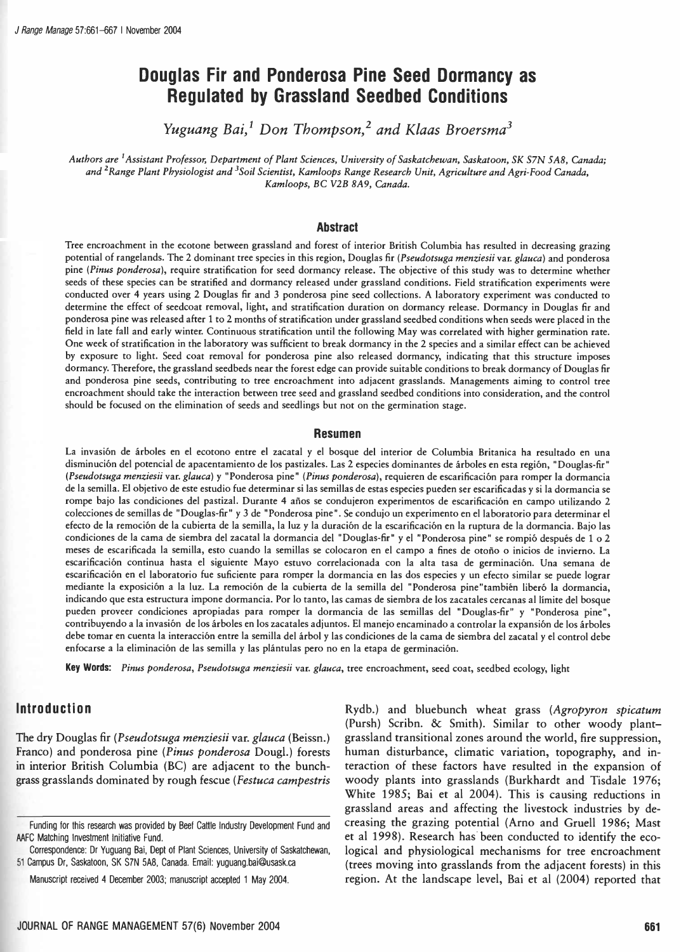# Douglas Fir and Ponderosa Pine Seed Dormancy as Regulated by Grassland Seedbed Conditions

Yuguang Bai,<sup>1</sup> Don Thompson,<sup>2</sup> and Klaas Broersma<sup>3</sup>

Authors are <sup>1</sup> Assistant Professor, Department of Plant Sciences, University of Saskatchewan, Saskatoon, SK S7N 5A8, Canada; and <sup>2</sup> Range Plant Physiologist and <sup>3</sup>Soil Scientist, Kamloops Range Research Unit, Agriculture and Agri-Food Canada, Kamloops, BC V2B 8A9, Canada.

#### Abstract

Tree encroachment in the ecotone between grassland and forest of interior British Columbia has resulted in decreasing grazing potential of rangelands. The 2 dominant tree species in this region, Douglas fir (Pseudotsuga menziesii var. glauca) and ponderosa pine (Pinus ponderosa), require stratification for seed dormancy release. The objective of this study was to determine whether seeds of these species can be stratified and dormancy released under grassland conditions. Field stratification experiments were conducted over 4 years using 2 Douglas fir and 3 ponderosa pine seed collections. A laboratory experiment was conducted to determine the effect of seedcoat removal, light, and stratification duration on dormancy release. Dormancy in Douglas fir and ponderosa pine was released after 1 to 2 months of stratification under grassland seedbed conditions when seeds were placed in the field in late fall and early winter. Continuous stratification until the following May was correlated with higher germination rate. One week of stratification in the laboratory was sufficient to break dormancy in the 2 species and a similar effect can be achieved by exposure to light. Seed coat removal for ponderosa pine also released dormancy, indicating that this structure imposes dormancy. Therefore, the grassland seedbeds near the forest edge can provide suitable conditions to break dormancy of Douglas fir and ponderosa pine seeds, contributing to tree encroachment into adjacent grasslands. Managements aiming to control tree encroachment should take the interaction between tree seed and grassland seedbed conditions into consideration, and the control should be focused on the elimination of seeds and seedlings but not on the germination stage.

#### Resumen

La invasión de árboles en el ecotono entre el zacatal y el bosque del interior de Columbia Britanica ha resultado en una disminución del potencial de apacentamiento de los pastizales. Las 2 especies dominantes de árboles en esta región, "Douglas -fir" (Pseudotsuga menziesii var. glauca) y "Ponderosa pine" (Pinus ponderosa), requieren de escarificación para romper la dormancia de la semilla. El objetivo de este estudio fue determinar si las semillas de estas especies pueden ser escarificadas y si la dormancia se rompe bajo las condiciones del pastizal. Durante 4 años se condujeron experimentos de escarificación en campo utilizando 2 colecciones de semillas de "Douglas -fir" y 3 de "Ponderosa pine ". Se condujo un experimento en el laboratorio para determinar el efecto de la remoción de la cubierta de la semilla, la luz y la duración de la escarificación en la ruptura de la dormancia. Bajo las condiciones de la cama de siembra del zacatal la dormancia del "Douglas -fir" y el "Ponderosa pine" se rompió después de 1 o 2 meses de escarificada la semilla, esto cuando la semillas se colocaron en el campo a fines de otoño o inicios de invierno. La escarificación continua hasta el siguiente Mayo estuvo correlacionada con la alta tasa de germinación. Una semana de escarificación en el laboratorio fue suficiente para romper la dormancia en las dos especies y un efecto similar se puede lograr mediante la exposición a la luz. La remoción de la cubierta de la semilla del "Ponderosa pine "también liberó la dormancia, indicando que esta estructura impone dormancia. Por lo tanto, las camas de siembra de los zacatales cercanas al límite del bosque pueden proveer condiciones apropiadas para romper la dormancia de las semillas del "Douglas-fir" y "Ponderosa pine", contribuyendo a la invasión de los árboles en los zacatales adjuntos. El manejo encaminado a controlar la expansión de los árboles debe tomar en cuenta la interacción entre la semilla del árbol y las condiciones de la cama de siembra del zacatal y el control debe enfocarse a la eliminación de las semilla y las plántulas pero no en la etapa de germinación.

Key Words: Pinus ponderosa, Pseudotsuga menziesii var. glauca, tree encroachment, seed coat, seedbed ecology, light

# Introduction

The dry Douglas fir (Pseudotsuga menziesii var. glauca (Beissn.) Franco) and ponderosa pine (Pinus ponderosa Dougl.) forests in interior British Columbia (BC) are adjacent to the bunch grass grasslands dominated by rough fescue (Festuca campestris

Correspondence: Dr Yuguang Bai, Dept of Plant Sciences, University of Saskatchewan, 51 Campus Dr, Saskatoon, SK S7N 5A8, Canada. Email: yuguang.bai@usask.ca

Rydb.) and bluebunch wheat grass (Agropyron spicatum (Pursh) Scribn. & Smith). Similar to other woody plant grassland transitional zones around the world, fire suppression, human disturbance, climatic variation, topography, and interaction of these factors have resulted in the expansion of woody plants into grasslands (Burkhardt and Tisdale 1976; White 1985; Bai et al 2004). This is causing reductions in grassland areas and affecting the livestock industries by decreasing the grazing potential (Arno and Gruell 1986; Mast et al 1998). Research has been conducted to identify the ecological and physiological mechanisms for tree encroachment (trees moving into grasslands from the adjacent forests) in this region. At the landscape level, Bai et al (2004) reported that

Funding for this research was provided by Beef Cattle Industry Development Fund and AAFC Matching Investment Initiative Fund.

Manuscript received 4 December 2003; manuscript accepted 1 May 2004.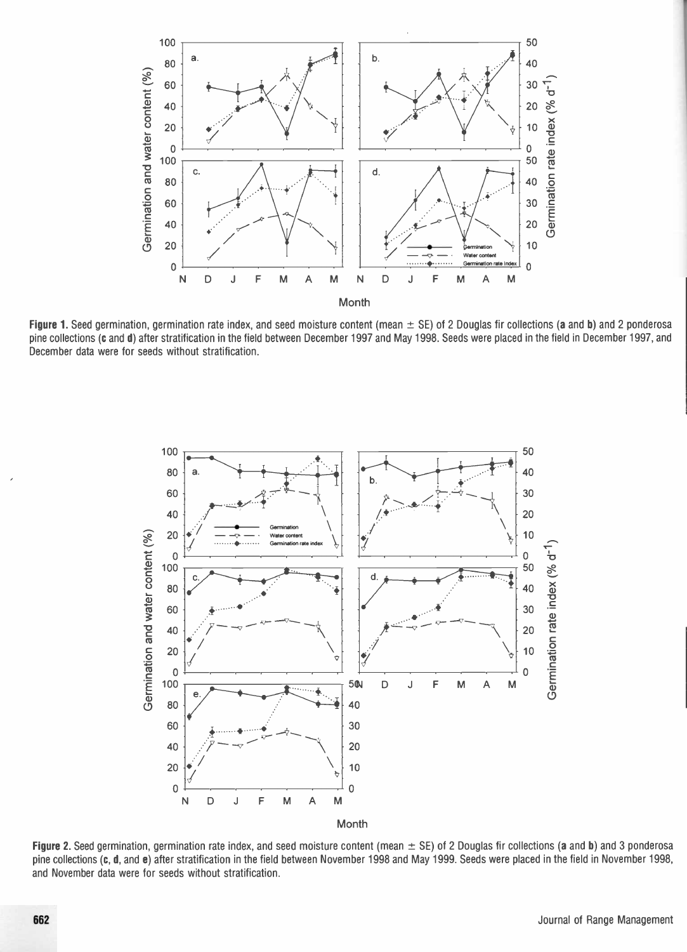

Figure 1. Seed germination, germination rate index, and seed moisture content (mean  $\pm$  SE) of 2 Douglas fir collections (a and b) and 2 ponderosa pine collections (c and d) after stratification in the field between December 1997 and May 1998. Seeds were placed in the field in December 1997, and December data were for seeds without stratification.



Figure 2. Seed germination, germination rate index, and seed moisture content (mean  $\pm$  SE) of 2 Douglas fir collections (a and b) and 3 ponderosa pine collections (c, d, and e) after stratification in the field between November 1998 and May 1999. Seeds were placed in the field in November 1998, and November data were for seeds without stratification.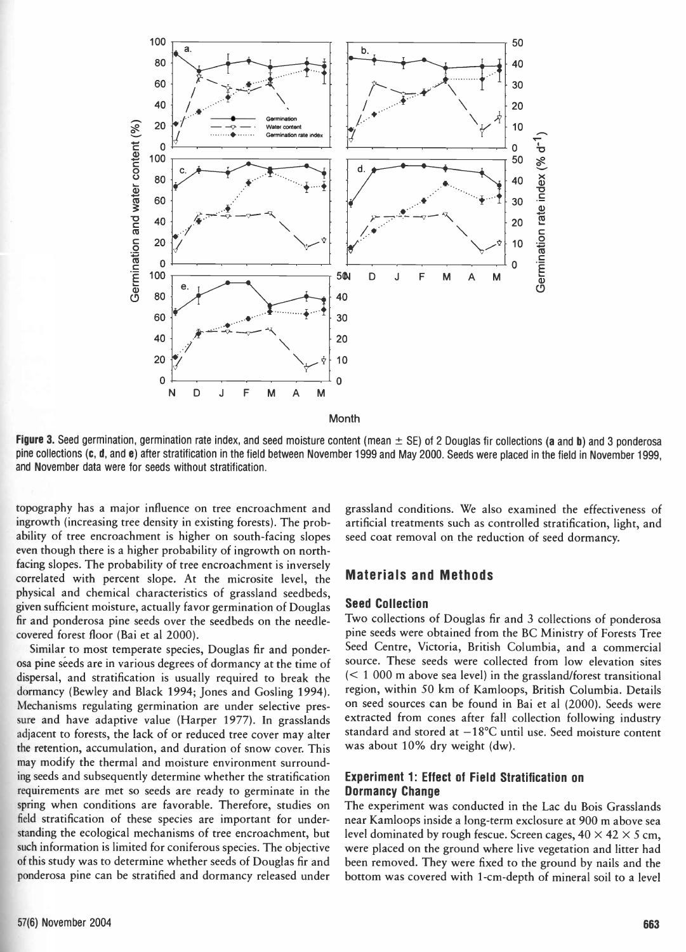

Month

Figure 3. Seed germination, germination rate index, and seed moisture content (mean  $\pm$  SE) of 2 Douglas fir collections (a and b) and 3 ponderosa pine collections (c, d, and e) after stratification in the field between November 1999 and May 2000. Seeds were placed in the field in November 1999, and November data were for seeds without stratification.

topography has a major influence on tree encroachment and ingrowth (increasing tree density in existing forests). The probability of tree encroachment is higher on south-facing slopes even though there is a higher probability of ingrowth on north facing slopes. The probability of tree encroachment is inversely correlated with percent slope. At the microsite level, the physical and chemical characteristics of grassland seedbeds, given sufficient moisture, actually favor germination of Douglas fir and ponderosa pine seeds over the seedbeds on the needle covered forest floor (Bai et al 2000).

Similar to most temperate species, Douglas fir and ponderosa pine seeds are in various degrees of dormancy at the time of dispersal, and stratification is usually required to break the dormancy (Bewley and Black 1994; Jones and Gosling 1994). Mechanisms regulating germination are under selective pressure and have adaptive value (Harper 1977). In grasslands adjacent to forests, the lack of or reduced tree cover may alter the retention, accumulation, and duration of snow cover. This may modify the thermal and moisture environment surrounding seeds and subsequently determine whether the stratification requirements are met so seeds are ready to germinate in the spring when conditions are favorable. Therefore, studies on field stratification of these species are important for understanding the ecological mechanisms of tree encroachment, but such information is limited for coniferous species. The objective of this study was to determine whether seeds of Douglas fir and ponderosa pine can be stratified and dormancy released under

grassland conditions. We also examined the effectiveness of artificial treatments such as controlled stratification, light, and seed coat removal on the reduction of seed dormancy.

### Materials and Methods

#### Seed Collection

Two collections of Douglas fir and 3 collections of ponderosa pine seeds were obtained from the BC Ministry of Forests Tree Seed Centre, Victoria, British Columbia, and a commercial source. These seeds were collected from low elevation sites  $(< 1000$  m above sea level) in the grassland/forest transitional region, within 50 km of Kamloops, British Columbia. Details on seed sources can be found in Bai et al (2000). Seeds were extracted from cones after fall collection following industry standard and stored at  $-18$ °C until use. Seed moisture content was about 10% dry weight (dw).

# Experiment 1: Effect of Field Stratification on Dormancy Change

The experiment was conducted in the Lac du Bois Grasslands near Kamloops inside a long -term exclosure at 900 m above sea level dominated by rough fescue. Screen cages,  $40 \times 42 \times 5$  cm, were placed on the ground where live vegetation and litter had been removed. They were fixed to the ground by nails and the bottom was covered with 1 -cm -depth of mineral soil to a level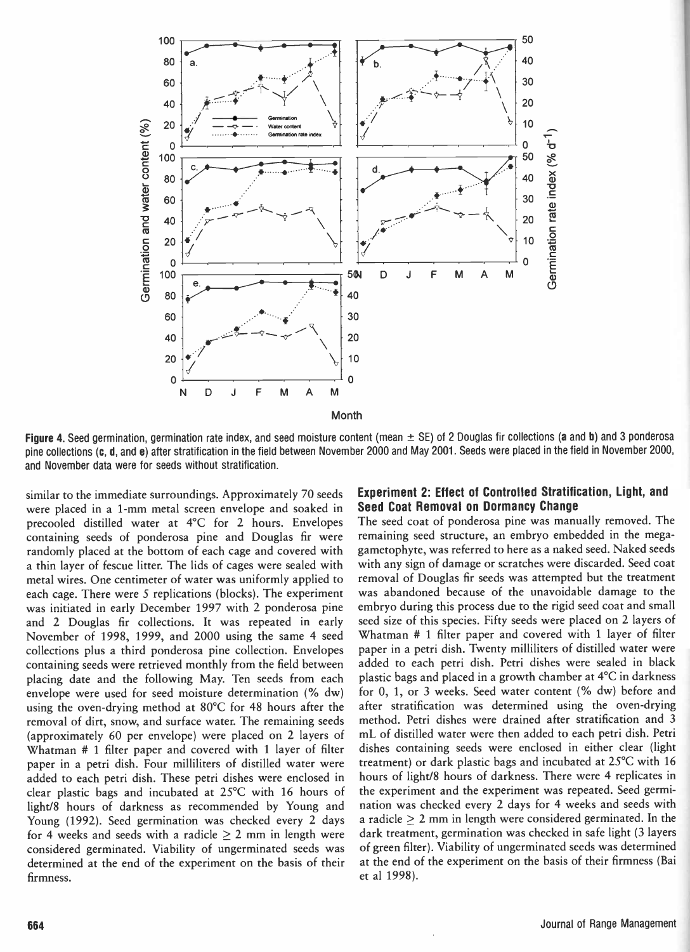

Figure 4. Seed germination, germination rate index, and seed moisture content (mean  $\pm$  SE) of 2 Douglas fir collections (a and b) and 3 ponderosa pine collections (c, d, and e) after stratification in the field between November 2000 and May 2001. Seeds were placed in the field in November 2000, and November data were for seeds without stratification.

similar to the immediate surroundings. Approximately 70 seeds were placed in a 1 -mm metal screen envelope and soaked in precooled distilled water at 4°C for 2 hours. Envelopes containing seeds of ponderosa pine and Douglas fir were randomly placed at the bottom of each cage and covered with a thin layer of fescue litter. The lids of cages were sealed with metal wires. One centimeter of water was uniformly applied to each cage. There were 5 replications (blocks). The experiment was initiated in early December 1997 with 2 ponderosa pine and 2 Douglas fir collections. It was repeated in early November of 1998, 1999, and 2000 using the same 4 seed collections plus a third ponderosa pine collection. Envelopes containing seeds were retrieved monthly from the field between placing date and the following May. Ten seeds from each envelope were used for seed moisture determination (% dw) using the oven-drying method at  $80^{\circ}$ C for 48 hours after the removal of dirt, snow, and surface water. The remaining seeds (approximately 60 per envelope) were placed on 2 layers of Whatman # 1 filter paper and covered with 1 layer of filter paper in a petri dish. Four milliliters of distilled water were added to each petri dish. These petri dishes were enclosed in clear plastic bags and incubated at 25°C with 16 hours of light/8 hours of darkness as recommended by Young and Young (1992). Seed germination was checked every 2 days for 4 weeks and seeds with a radicle  $\geq 2$  mm in length were considered germinated. Viability of ungerminated seeds was determined at the end of the experiment on the basis of their firmness.

#### Experiment 2: Effect of Controlled Stratification, Light, and Seed Coat Removal on Dormancy Change

The seed coat of ponderosa pine was manually removed. The remaining seed structure, an embryo embedded in the mega gametophyte, was referred to here as a naked seed. Naked seeds with any sign of damage or scratches were discarded. Seed coat removal of Douglas fir seeds was attempted but the treatment was abandoned because of the unavoidable damage to the embryo during this process due to the rigid seed coat and small seed size of this species. Fifty seeds were placed on 2 layers of Whatman # 1 filter paper and covered with 1 layer of filter paper in a petri dish. Twenty milliliters of distilled water were added to each petri dish. Petri dishes were sealed in black plastic bags and placed in a growth chamber at 4°C in darkness for 0, 1, or 3 weeks. Seed water content (% dw) before and after stratification was determined using the oven-drying method. Petri dishes were drained after stratification and 3 mL of distilled water were then added to each petri dish. Petri dishes containing seeds were enclosed in either clear (light treatment) or dark plastic bags and incubated at  $25^{\circ}$ C with 16 hours of light/8 hours of darkness. There were 4 replicates in the experiment and the experiment was repeated. Seed germination was checked every 2 days for 4 weeks and seeds with a radicle  $\geq 2$  mm in length were considered germinated. In the dark treatment, germination was checked in safe light (3 layers of green filter). Viability of ungerminated seeds was determined at the end of the experiment on the basis of their firmness (Bai et al 1998).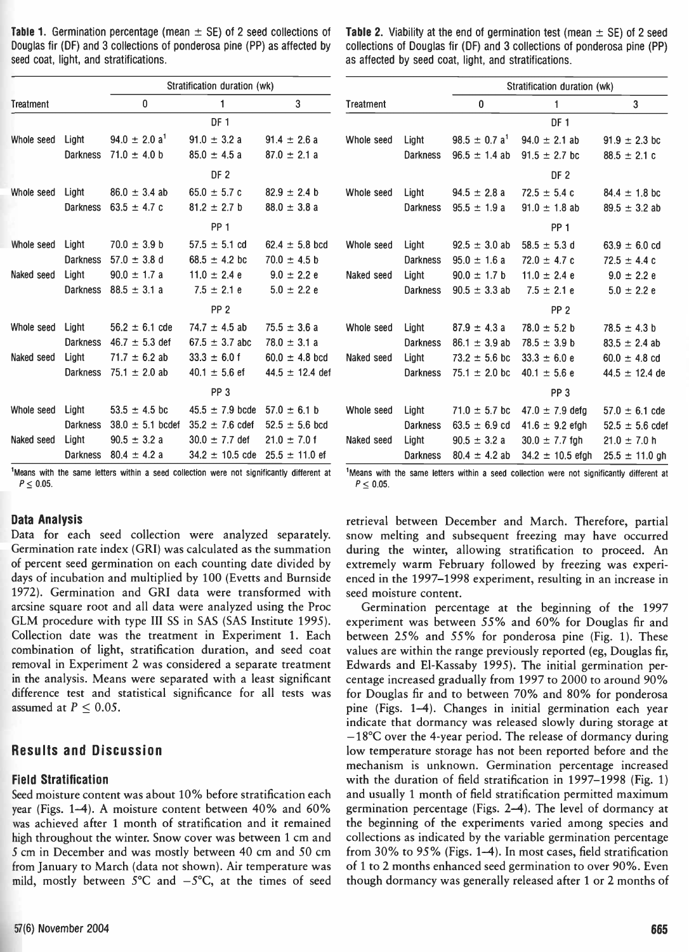| <b>Table 1.</b> Germination percentage (mean $\pm$ SE) of 2 seed collections of | <b>Table 2.</b> Viability at the end of germination test (mean |
|---------------------------------------------------------------------------------|----------------------------------------------------------------|
| Douglas fir (DF) and 3 collections of ponderosa pine (PP) as affected by        | collections of Douglas fir (DF) and 3 collections of pond      |
| seed coat, light, and stratifications.                                          | as affected by seed coat, light, and stratifications.          |

| <b>Table 1.</b> Germination percentage (mean $\pm$ SE) of 2 seed collections of | <b>Table 2.</b> Viability at the end of germination test (mean $\pm$ SE) of 2 seed |
|---------------------------------------------------------------------------------|------------------------------------------------------------------------------------|
| Douglas fir (DF) and 3 collections of ponderosa pine (PP) as affected by .      | collections of Douglas fir (DF) and 3 collections of ponderosa pine (PP)           |
| seed coat, light, and stratifications.                                          | as affected by seed coat, light, and stratifications.                              |

|            |                 | Stratification duration (wk) |                     |                     |                |
|------------|-----------------|------------------------------|---------------------|---------------------|----------------|
| Treatment  |                 | 0                            | 1                   | 3                   | <b>Treatme</b> |
|            |                 |                              | DF <sub>1</sub>     |                     |                |
| Whole seed | Light           | $94.0 \pm 2.0 a^1$           | $91.0 \pm 3.2 a$    | $91.4 \pm 2.6 a$    | Whole s        |
|            | <b>Darkness</b> | $71.0 \pm 4.0$ b             | $85.0 \pm 4.5 a$    | $87.0 \pm 2.1 a$    |                |
|            |                 |                              | DF <sub>2</sub>     |                     |                |
| Whole seed | Light           | $86.0 \pm 3.4$ ab            | $65.0 \pm 5.7 c$    | $82.9 \pm 2.4$ b    | Whole s        |
|            | Darkness        | 63.5 $\pm$ 4.7 c             | $81.2 \pm 2.7$ b    | $88.0 \pm 3.8 a$    |                |
|            |                 |                              | PP <sub>1</sub>     |                     |                |
| Whole seed | Light           | $70.0 \pm 3.9$ b             | $57.5 \pm 5.1$ cd   | $62.4 \pm 5.8$ bcd  | Whole s        |
|            | <b>Darkness</b> | $57.0 \pm 3.8$ d             | $68.5 \pm 4.2$ bc   | $70.0 \pm 4.5$ b    |                |
| Naked seed | Light           | $90.0 \pm 1.7$ a             | $11.0 \pm 2.4 e$    | $9.0 \pm 2.2 e$     | Naked s        |
|            | Darkness        | $88.5 \pm 3.1 a$             | $7.5 \pm 2.1 e$     | $5.0 \pm 2.2 e$     |                |
|            |                 |                              | PP <sub>2</sub>     |                     |                |
| Whole seed | Light           | $56.2 \pm 6.1$ cde           | $74.7 \pm 4.5$ ab   | $75.5 \pm 3.6 a$    | Whole s        |
|            |                 | Darkness $46.7 \pm 5.3$ def  | $67.5 \pm 3.7$ abc  | $78.0 \pm 3.1 a$    |                |
| Naked seed | Light           | $71.7 \pm 6.2$ ab            | $33.3 \pm 6.0$ f    | $60.0 \pm 4.8$ bcd  | Naked s        |
|            | Darkness        | 75.1 $\pm$ 2.0 ab            | $40.1 \pm 5.6$ ef   | $44.5 \pm 12.4$ def |                |
|            |                 |                              | PP <sub>3</sub>     |                     |                |
| Whole seed | Light           | $53.5 \pm 4.5$ bc            | $45.5 \pm 7.9$ bcde | $57.0 \pm 6.1$ b    | Whole s        |
|            | <b>Darkness</b> | $38.0 \pm 5.1$ bcdef         | $35.2 \pm 7.6$ cdef | $52.5 \pm 5.6$ bcd  |                |
| Naked seed | Light           | $90.5 \pm 3.2 a$             | $30.0 \pm 7.7$ def  | $21.0 \pm 7.0$ f    | Naked s        |
|            | <b>Darkness</b> | $80.4 \pm 4.2 a$             | $34.2 \pm 10.5$ cde | $25.5 \pm 11.0$ ef  |                |

'Means with the same letters within a seed collection were not significantly different at  $P < 0.05$ .

#### Data Analysis

Data for each seed collection were analyzed separately. Germination rate index (GRI) was calculated as the summation of percent seed germination on each counting date divided by days of incubation and multiplied by 100 (Evetts and Burnside 1972). Germination and GRI data were transformed with arcsine square root and all data were analyzed using the Proc GLM procedure with type III SS in SAS (SAS Institute 1995). Collection date was the treatment in Experiment 1. Each combination of light, stratification duration, and seed coat removal in Experiment 2 was considered a separate treatment in the analysis. Means were separated with a least significant difference test and statistical significance for all tests was assumed at  $P \leq 0.05$ .

# Results and Discussion

#### Field Stratification

Seed moisture content was about 10% before stratification each year (Figs. 1-4). A moisture content between 40% and 60% was achieved after 1 month of stratification and it remained high throughout the winter. Snow cover was between 1 cm and 5 cm in December and was mostly between 40 cm and 50 cm from January to March (data not shown). Air temperature was mild, mostly between  $5^{\circ}$ C and  $-5^{\circ}$ C, at the times of seed

|            |          | Stratification duration (WK) |                      |                     |
|------------|----------|------------------------------|----------------------|---------------------|
| Treatment  |          | 0                            | 1                    | 3                   |
|            |          |                              | <b>DF1</b>           |                     |
| Whole seed | Light    | $98.5 \pm 0.7 a^1$           | $94.0 \pm 2.1$ ab    | $91.9 \pm 2.3$ bc   |
|            | Darkness | $96.5 \pm 1.4$ ab            | $91.5 \pm 2.7$ bc    | $88.5 \pm 2.1$ c    |
|            |          |                              | DF 2                 |                     |
| Whole seed | Light    | $94.5 \pm 2.8 a$             | $72.5 \pm 5.4 c$     | $84.4 \pm 1.8$ bc   |
|            | Darkness | $95.5 \pm 1.9 a$             | $91.0 \pm 1.8$ ab    | $89.5 \pm 3.2$ ab   |
|            |          |                              | PP <sub>1</sub>      |                     |
| Whole seed | Light    | $92.5 \pm 3.0$ ab            | $58.5 \pm 5.3$ d     | $63.9 \pm 6.0$ cd   |
|            | Darkness | $95.0 \pm 1.6 a$             | $72.0 \pm 4.7$ c     | $72.5 \pm 4.4$ c    |
| Naked seed | Light    | $90.0 \pm 1.7$ b             | $11.0 \pm 2.4 e$     | $9.0 \pm 2.2 e$     |
|            | Darkness | $90.5 \pm 3.3$ ab            | $7.5 \pm 2.1 e$      | $5.0 \pm 2.2 e$     |
|            |          |                              | PP <sub>2</sub>      |                     |
| Whole seed | Light    | $87.9 \pm 4.3 a$             | $78.0 \pm 5.2$ b     | $78.5 \pm 4.3$ b    |
|            | Darkness | $86.1 \pm 3.9$ ab            | $78.5 \pm 3.9$ b     | $83.5 \pm 2.4$ ab   |
| Naked seed | Light    | $73.2 \pm 5.6$ bc            | $33.3 \pm 6.0 e$     | $60.0 \pm 4.8$ cd   |
|            | Darkness | $75.1 \pm 2.0$ bc            | $40.1 \pm 5.6 e$     | $44.5 \pm 12.4$ de  |
|            |          |                              | PP <sub>3</sub>      |                     |
| Whole seed | Light    | $71.0 \pm 5.7$ bc            | $47.0 \pm 7.9$ defa  | $57.0 \pm 6.1$ cde  |
|            | Darkness | $63.5 \pm 6.9$ cd            | $41.6 \pm 9.2$ efgh  | $52.5 \pm 5.6$ cdef |
| Naked seed | Light    | $90.5 \pm 3.2 a$             | $30.0 \pm 7.7$ fgh   | $21.0 \pm 7.0$ h    |
|            | Darkness | $80.4 \pm 4.2$ ab            | $34.2 \pm 10.5$ efgh | $25.5 \pm 11.0$ gh  |

<sup>1</sup>Means with the same letters within a seed collection were not significantly different at  $P \le 0.05$ .

retrieval between December and March. Therefore, partial snow melting and subsequent freezing may have occurred during the winter, allowing stratification to proceed. An extremely warm February followed by freezing was experienced in the 1997-1998 experiment, resulting in an increase in seed moisture content.

Germination percentage at the beginning of the 1997 experiment was between 55% and 60% for Douglas fir and between 25% and 55% for ponderosa pine (Fig. 1). These values are within the range previously reported (eg, Douglas fir, Edwards and El-Kassaby 1995). The initial germination percentage increased gradually from 1997 to 2000 to around 90% for Douglas fir and to between 70% and 80% for ponderosa pine (Figs. 1-4). Changes in initial germination each year indicate that dormancy was released slowly during storage at  $-18$ °C over the 4-year period. The release of dormancy during low temperature storage has not been reported before and the mechanism is unknown. Germination percentage increased with the duration of field stratification in 1997-1998 (Fig. 1) and usually 1 month of field stratification permitted maximum germination percentage (Figs. 2-4). The level of dormancy at the beginning of the experiments varied among species and collections as indicated by the variable germination percentage from 30% to 95% (Figs. 1-4). In most cases, field stratification of 1 to 2 months enhanced seed germination to over 90%. Even though dormancy was generally released after 1 or 2 months of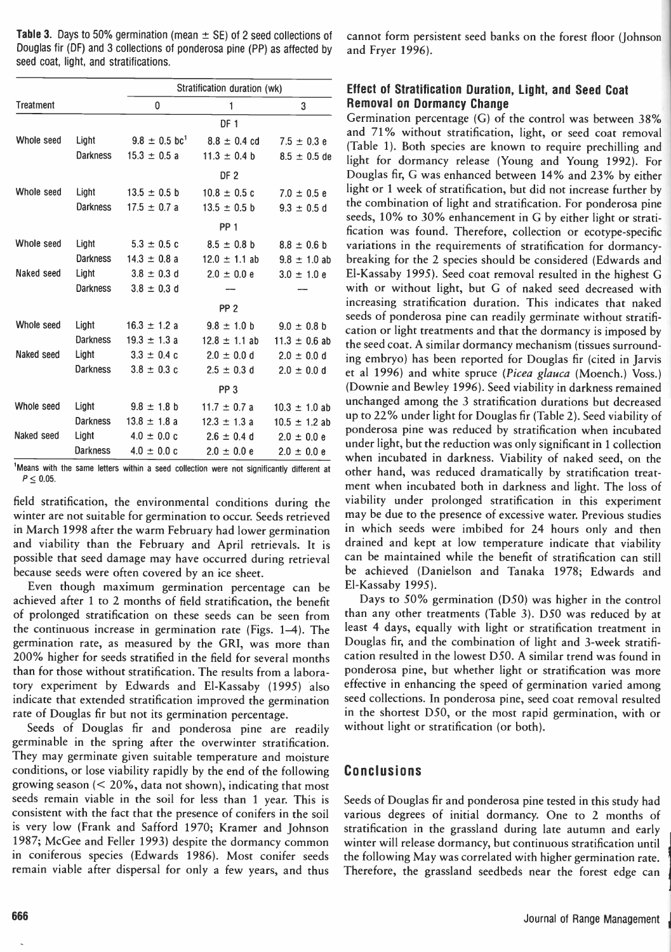**Table 3.** Days to 50% germination (mean  $\pm$  SE) of 2 seed collections of Douglas fir (DF) and 3 collections of ponderosa pine (PP) as affected by seed coat, light, and stratifications.

|            |                 | Stratification duration (wk)  |                   |                   | Effect of Stratification Duration, Light, and Seed Coat                                                                            |
|------------|-----------------|-------------------------------|-------------------|-------------------|------------------------------------------------------------------------------------------------------------------------------------|
| Treatment  |                 | 0                             |                   | 3                 | <b>Removal on Dormancy Change</b>                                                                                                  |
|            |                 |                               | DF <sub>1</sub>   |                   | Germination percentage (G) of the control was between 38%                                                                          |
| Whole seed | Light           | $9.8 \pm 0.5$ bc <sup>1</sup> | $8.8 \pm 0.4$ cd  | $7.5 \pm 0.3 e$   | and 71% without stratification, light, or seed coat removal                                                                        |
|            | <b>Darkness</b> | $15.3 \pm 0.5 a$              | $11.3 \pm 0.4$ b  | $8.5 \pm 0.5$ de  | (Table 1). Both species are known to require prechilling and<br>light for dormancy release (Young and Young 1992). For             |
|            |                 |                               | DF <sub>2</sub>   |                   | Douglas fir, G was enhanced between 14% and 23% by either                                                                          |
| Whole seed | Light           | $13.5 \pm 0.5$ b              | $10.8 \pm 0.5$ c  |                   | light or 1 week of stratification, but did not increase further by                                                                 |
|            |                 |                               |                   | $7.0 \pm 0.5 e$   | the combination of light and stratification. For ponderosa pine                                                                    |
|            | <b>Darkness</b> | $17.5 \pm 0.7$ a              | $13.5 \pm 0.5$ b  | $9.3 \pm 0.5$ d   | seeds, 10% to 30% enhancement in G by either light or strati-                                                                      |
|            |                 |                               | PP <sub>1</sub>   |                   | fication was found. Therefore, collection or ecotype-specific                                                                      |
| Whole seed | Light           | $5.3 \pm 0.5$ c               | $8.5 \pm 0.8$ b   | $8.8 \pm 0.6$ b   | variations in the requirements of stratification for dormancy-                                                                     |
|            | <b>Darkness</b> | $14.3 \pm 0.8$ a              | $12.0 \pm 1.1$ ab | $9.8 \pm 1.0$ ab  | breaking for the 2 species should be considered (Edwards and                                                                       |
| Naked seed | Light           | $3.8 \pm 0.3$ d               | $2.0 \pm 0.0 e$   | $3.0 \pm 1.0 e$   | El-Kassaby 1995). Seed coat removal resulted in the highest C                                                                      |
|            | <b>Darkness</b> | $3.8 \pm 0.3$ d               |                   |                   | with or without light, but G of naked seed decreased with                                                                          |
|            |                 |                               | PP <sub>2</sub>   |                   | increasing stratification duration. This indicates that naked                                                                      |
| Whole seed | Light           | $16.3 \pm 1.2 a$              | $9.8 \pm 1.0$ b   | $9.0 \pm 0.8$ b   | seeds of ponderosa pine can readily germinate without stratifi-                                                                    |
|            | <b>Darkness</b> | $19.3 \pm 1.3 a$              | $12.8 \pm 1.1$ ab | $11.3 \pm 0.6$ ab | cation or light treatments and that the dormancy is imposed by                                                                     |
| Naked seed | Light           | $3.3 \pm 0.4$ c               | $2.0 \pm 0.0 d$   | $2.0 \pm 0.0$ d   | the seed coat. A similar dormancy mechanism (tissues surround-                                                                     |
|            | <b>Darkness</b> | $3.8 \pm 0.3$ c               | $2.5 \pm 0.3$ d   |                   | ing embryo) has been reported for Douglas fir (cited in Jarvis                                                                     |
|            |                 |                               |                   | $2.0 \pm 0.0$ d   | et al 1996) and white spruce (Picea glauca (Moench.) Voss.)                                                                        |
|            |                 |                               | PP <sub>3</sub>   |                   | (Downie and Bewley 1996). Seed viability in darkness remained                                                                      |
| Whole seed | Light           | $9.8 \pm 1.8$ b               | $11.7 \pm 0.7$ a  | $10.3 \pm 1.0$ ab | unchanged among the 3 stratification durations but decreased                                                                       |
|            | <b>Darkness</b> | $13.8 \pm 1.8$ a              | $12.3 \pm 1.3 a$  | $10.5 \pm 1.2$ ab | up to 22% under light for Douglas fir (Table 2). Seed viability of                                                                 |
| Naked seed | Light           | $4.0 \pm 0.0 c$               | $2.6 \pm 0.4$ d   | $2.0 \pm 0.0 e$   | ponderosa pine was reduced by stratification when incubated                                                                        |
|            | <b>Darkness</b> | $4.0 \pm 0.0 c$               | $2.0 \pm 0.0 e$   | $2.0 \pm 0.0 e$   | under light, but the reduction was only significant in 1 collection<br>when incubated in darkness. Viability of naked seed, on the |

<sup>1</sup>Means with the same letters within a seed collection were not significantly different at  $P \leq 0.05$ .

field stratification, the environmental conditions during the winter are not suitable for germination to occur. Seeds retrieved in March 1998 after the warm February had lower germination and viability than the February and April retrievals. It is possible that seed damage may have occurred during retrieval because seeds were often covered by an ice sheet.

Even though maximum germination percentage can be achieved after 1 to 2 months of field stratification, the benefit of prolonged stratification on these seeds can be seen from the continuous increase in germination rate (Figs. 1-4). The germination rate, as measured by the GRI, was more than 200% higher for seeds stratified in the field for several months than for those without stratification. The results from a laboratory experiment by Edwards and El-Kassaby (1995) also indicate that extended stratification improved the germination rate of Douglas fir but not its germination percentage.

Seeds of Douglas fir and ponderosa pine are readily germinable in the spring after the overwinter stratification. They may germinate given suitable temperature and moisture conditions, or lose viability rapidly by the end of the following growing season  $( $20\%$ , data not shown), indicating that most$ seeds remain viable in the soil for less than 1 year. This is consistent with the fact that the presence of conifers in the soil is very low (Frank and Safford 1970; Kramer and Johnson 1987; McGee and Feller 1993) despite the dormancy common in coniferous species (Edwards 1986). Most conifer seeds remain viable after dispersal for only a few years, and thus cannot form persistent seed banks on the forest floor (Johnson and Fryer 1996).

# Effect of Stratification Duration, Light, and Seed Coat Removal on Dormancy Change

Darkness 14.3  $\pm$  0.8 a 12.0  $\pm$  1.1 ab 9.8  $\pm$  1.0 ab breaking for the 2 species should be considered (Edwards and Darkness  $3.8 \pm 0.3$  c  $2.5 \pm 0.3$  d  $2.0 \pm 0.0$  d et al 1996) and white spruce (*Picea glauca* (Moench.) Voss.) Germination percentage (G) of the control was between 38% and 71% without stratification, light, or seed coat removal (Table 1). Both species are known to require prechilling and light for dormancy release (Young and Young 1992). For Douglas fir, G was enhanced between 14% and 23% by either light or 1 week of stratification, but did not increase further by the combination of light and stratification. For ponderosa pine seeds, 10% to 30% enhancement in G by either light or stratification was found. Therefore, collection or ecotype-specific El-Kassaby 1995). Seed coat removal resulted in the highest G with or without light, but G of naked seed decreased with increasing stratification duration. This indicates that naked seeds of ponderosa pine can readily germinate without stratification or light treatments and that the dormancy is imposed by the seed coat. A similar dormancy mechanism (tissues surrounding embryo) has been reported for Douglas fir (cited in Jarvis (Downie and Bewley 1996). Seed viability in darkness remained unchanged among the 3 stratification durations but decreased up to 22% under light for Douglas fir (Table 2). Seed viability of ponderosa pine was reduced by stratification when incubated under light, but the reduction was only significant in 1 collection when incubated in darkness. Viability of naked seed, on the other hand, was reduced dramatically by stratification treatment when incubated both in darkness and light. The loss of viability under prolonged stratification in this experiment may be due to the presence of excessive water. Previous studies in which seeds were imbibed for 24 hours only and then drained and kept at low temperature indicate that viability can be maintained while the benefit of stratification can still be achieved (Danielson and Tanaka 1978; Edwards and El-Kassaby 1995).

Days to 50% germination (D50) was higher in the control than any other treatments (Table 3). D50 was reduced by at least 4 days, equally with light or stratification treatment in Douglas fir, and the combination of light and 3 -week stratification resulted in the lowest D50. A similar trend was found in ponderosa pine, but whether light or stratification was more effective in enhancing the speed of germination varied among seed collections. In ponderosa pine, seed coat removal resulted in the shortest D50, or the most rapid germination, with or without light or stratification (or both).

# Conclusions

Seeds of Douglas fir and ponderosa pine tested in this study had various degrees of initial dormancy. One to 2 months of stratification in the grassland during late autumn and early winter will release dormancy, but continuous stratification until the following May was correlated with higher germination rate. Therefore, the grassland seedbeds near the forest edge can